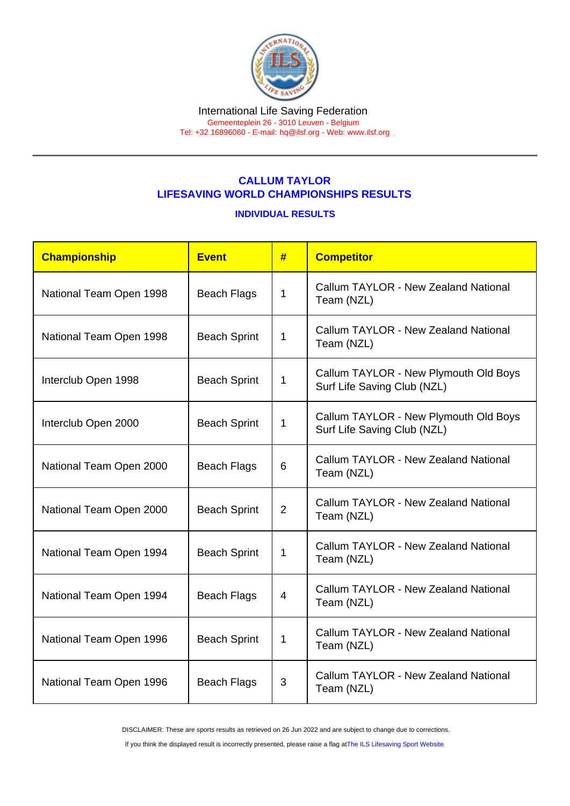## CALLUM TAYLOR LIFESAVING WORLD CHAMPIONSHIPS RESULTS

INDIVIDUAL RESULTS

| Championship            | Event               | #              | <b>Competitor</b>                                                    |
|-------------------------|---------------------|----------------|----------------------------------------------------------------------|
| National Team Open 1998 | <b>Beach Flags</b>  | 1              | Callum TAYLOR - New Zealand National<br>Team (NZL)                   |
| National Team Open 1998 | <b>Beach Sprint</b> | 1              | Callum TAYLOR - New Zealand National<br>Team (NZL)                   |
| Interclub Open 1998     | <b>Beach Sprint</b> | 1              | Callum TAYLOR - New Plymouth Old Boys<br>Surf Life Saving Club (NZL) |
| Interclub Open 2000     | <b>Beach Sprint</b> | 1              | Callum TAYLOR - New Plymouth Old Boys<br>Surf Life Saving Club (NZL) |
| National Team Open 2000 | <b>Beach Flags</b>  | 6              | Callum TAYLOR - New Zealand National<br>Team (NZL)                   |
| National Team Open 2000 | <b>Beach Sprint</b> | $\overline{2}$ | Callum TAYLOR - New Zealand National<br>Team (NZL)                   |
| National Team Open 1994 | <b>Beach Sprint</b> | 1              | Callum TAYLOR - New Zealand National<br>Team (NZL)                   |
| National Team Open 1994 | <b>Beach Flags</b>  | 4              | Callum TAYLOR - New Zealand National<br>Team (NZL)                   |
| National Team Open 1996 | <b>Beach Sprint</b> | 1              | Callum TAYLOR - New Zealand National<br>Team (NZL)                   |
| National Team Open 1996 | <b>Beach Flags</b>  | 3              | Callum TAYLOR - New Zealand National<br>Team (NZL)                   |

DISCLAIMER: These are sports results as retrieved on 26 Jun 2022 and are subject to change due to corrections.

If you think the displayed result is incorrectly presented, please raise a flag at [The ILS Lifesaving Sport Website.](https://sport.ilsf.org)